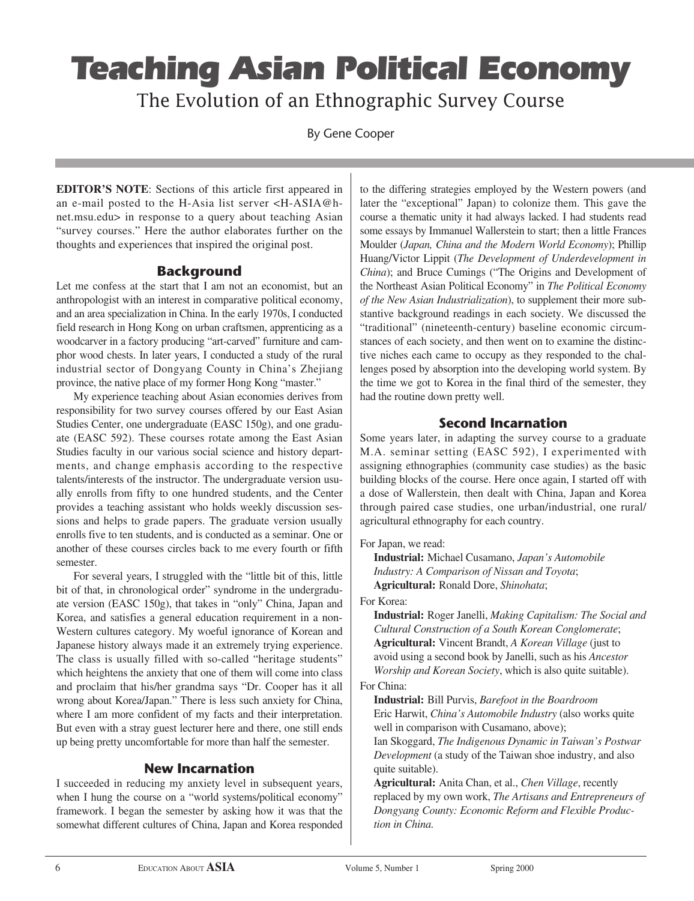# Teaching Asian Political Economy

The Evolution of an Ethnographic Survey Course

By Gene Cooper

**EDITOR'S NOTE**: Sections of this article first appeared in an e-mail posted to the H-Asia list server <H-ASIA@hnet.msu.edu> in response to a query about teaching Asian "survey courses." Here the author elaborates further on the thoughts and experiences that inspired the original post.

# **Background**

Let me confess at the start that I am not an economist, but an anthropologist with an interest in comparative political economy, and an area specialization in China. In the early 1970s, I conducted field research in Hong Kong on urban craftsmen, apprenticing as a woodcarver in a factory producing "art-carved" furniture and camphor wood chests. In later years, I conducted a study of the rural industrial sector of Dongyang County in China's Zhejiang province, the native place of my former Hong Kong "master."

My experience teaching about Asian economies derives from responsibility for two survey courses offered by our East Asian Studies Center, one undergraduate (EASC 150g), and one graduate (EASC 592). These courses rotate among the East Asian Studies faculty in our various social science and history departments, and change emphasis according to the respective talents/interests of the instructor. The undergraduate version usually enrolls from fifty to one hundred students, and the Center provides a teaching assistant who holds weekly discussion sessions and helps to grade papers. The graduate version usually enrolls five to ten students, and is conducted as a seminar. One or another of these courses circles back to me every fourth or fifth semester.

For several years, I struggled with the "little bit of this, little bit of that, in chronological order" syndrome in the undergraduate version (EASC 150g), that takes in "only" China, Japan and Korea, and satisfies a general education requirement in a non-Western cultures category. My woeful ignorance of Korean and Japanese history always made it an extremely trying experience. The class is usually filled with so-called "heritage students" which heightens the anxiety that one of them will come into class and proclaim that his/her grandma says "Dr. Cooper has it all wrong about Korea/Japan." There is less such anxiety for China, where I am more confident of my facts and their interpretation. But even with a stray guest lecturer here and there, one still ends up being pretty uncomfortable for more than half the semester.

# **New Incarnation**

I succeeded in reducing my anxiety level in subsequent years, when I hung the course on a "world systems/political economy" framework. I began the semester by asking how it was that the somewhat different cultures of China, Japan and Korea responded to the differing strategies employed by the Western powers (and later the "exceptional" Japan) to colonize them. This gave the course a thematic unity it had always lacked. I had students read some essays by Immanuel Wallerstein to start; then a little Frances Moulder (*Japan, China and the Modern World Economy*); Phillip Huang/Victor Lippit (*The Development of Underdevelopment in China*); and Bruce Cumings ("The Origins and Development of the Northeast Asian Political Economy" in *The Political Economy of the New Asian Industrialization*), to supplement their more substantive background readings in each society. We discussed the "traditional" (nineteenth-century) baseline economic circumstances of each society, and then went on to examine the distinctive niches each came to occupy as they responded to the challenges posed by absorption into the developing world system. By the time we got to Korea in the final third of the semester, they had the routine down pretty well.

# **Second Incarnation**

Some years later, in adapting the survey course to a graduate M.A. seminar setting (EASC 592), I experimented with assigning ethnographies (community case studies) as the basic building blocks of the course. Here once again, I started off with a dose of Wallerstein, then dealt with China, Japan and Korea through paired case studies, one urban/industrial, one rural/ agricultural ethnography for each country.

For Japan, we read:

**Industrial:** Michael Cusamano, *Japan's Automobile Industry: A Comparison of Nissan and Toyota*; **Agricultural:** Ronald Dore, *Shinohata*;

For Korea:

**Industrial:** Roger Janelli, *Making Capitalism: The Social and Cultural Construction of a South Korean Conglomerate*; **Agricultural:** Vincent Brandt, *A Korean Village* (just to avoid using a second book by Janelli, such as his *Ancestor Worship and Korean Society*, which is also quite suitable).

### For China:

**Industrial:** Bill Purvis, *Barefoot in the Boardroom* Eric Harwit, *China's Automobile Industry* (also works quite well in comparison with Cusamano, above); Ian Skoggard, *The Indigenous Dynamic in Taiwan's Postwar Development* (a study of the Taiwan shoe industry, and also quite suitable).

**Agricultural:** Anita Chan, et al., *Chen Village*, recently replaced by my own work, *The Artisans and Entrepreneurs of Dongyang County: Economic Reform and Flexible Production in China.*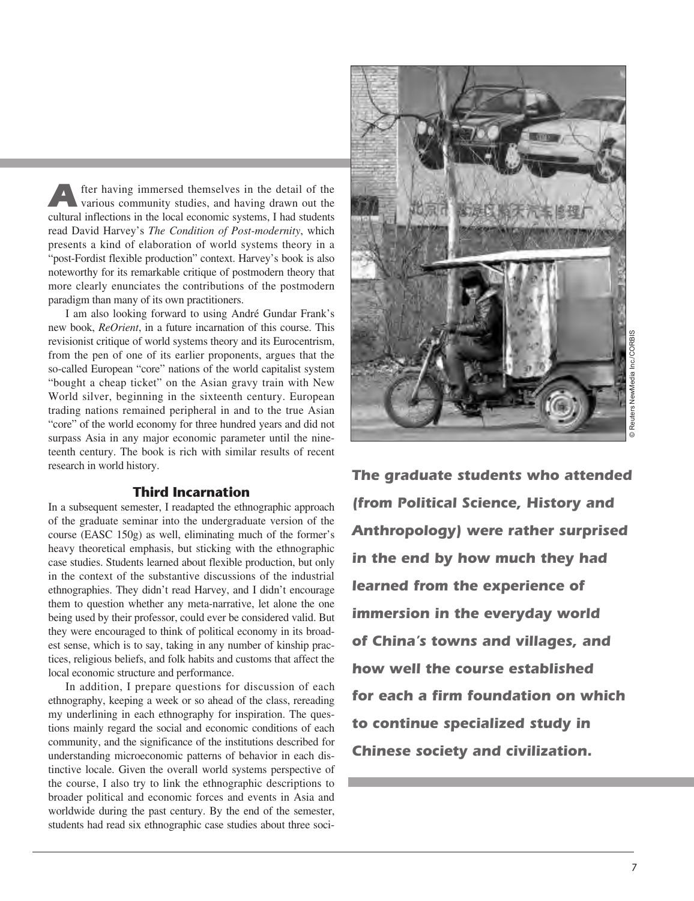After having immersed themselves in the detail of the various community studies, and having drawn out the cultural inflections in the local economic systems, I had students read David Harvey's *The Condition of Post-modernity*, which presents a kind of elaboration of world systems theory in a "post-Fordist flexible production" context. Harvey's book is also noteworthy for its remarkable critique of postmodern theory that more clearly enunciates the contributions of the postmodern paradigm than many of its own practitioners.

I am also looking forward to using André Gundar Frank's new book, *ReOrient*, in a future incarnation of this course. This revisionist critique of world systems theory and its Eurocentrism, from the pen of one of its earlier proponents, argues that the so-called European "core" nations of the world capitalist system "bought a cheap ticket" on the Asian gravy train with New World silver, beginning in the sixteenth century. European trading nations remained peripheral in and to the true Asian "core" of the world economy for three hundred years and did not surpass Asia in any major economic parameter until the nineteenth century. The book is rich with similar results of recent research in world history.

#### **Third Incarnation**

In a subsequent semester, I readapted the ethnographic approach of the graduate seminar into the undergraduate version of the course (EASC 150g) as well, eliminating much of the former's heavy theoretical emphasis, but sticking with the ethnographic case studies. Students learned about flexible production, but only in the context of the substantive discussions of the industrial ethnographies. They didn't read Harvey, and I didn't encourage them to question whether any meta-narrative, let alone the one being used by their professor, could ever be considered valid. But they were encouraged to think of political economy in its broadest sense, which is to say, taking in any number of kinship practices, religious beliefs, and folk habits and customs that affect the local economic structure and performance.

In addition, I prepare questions for discussion of each ethnography, keeping a week or so ahead of the class, rereading my underlining in each ethnography for inspiration. The questions mainly regard the social and economic conditions of each community, and the significance of the institutions described for understanding microeconomic patterns of behavior in each distinctive locale. Given the overall world systems perspective of the course, I also try to link the ethnographic descriptions to broader political and economic forces and events in Asia and worldwide during the past century. By the end of the semester, students had read six ethnographic case studies about three soci-



**The graduate students who attended (from Political Science, History and Anthropology) were rather surprised in the end by how much they had learned from the experience of immersion in the everyday world of China's towns and villages, and how well the course established for each a firm foundation on which to continue specialized study in Chinese society and civilization.**